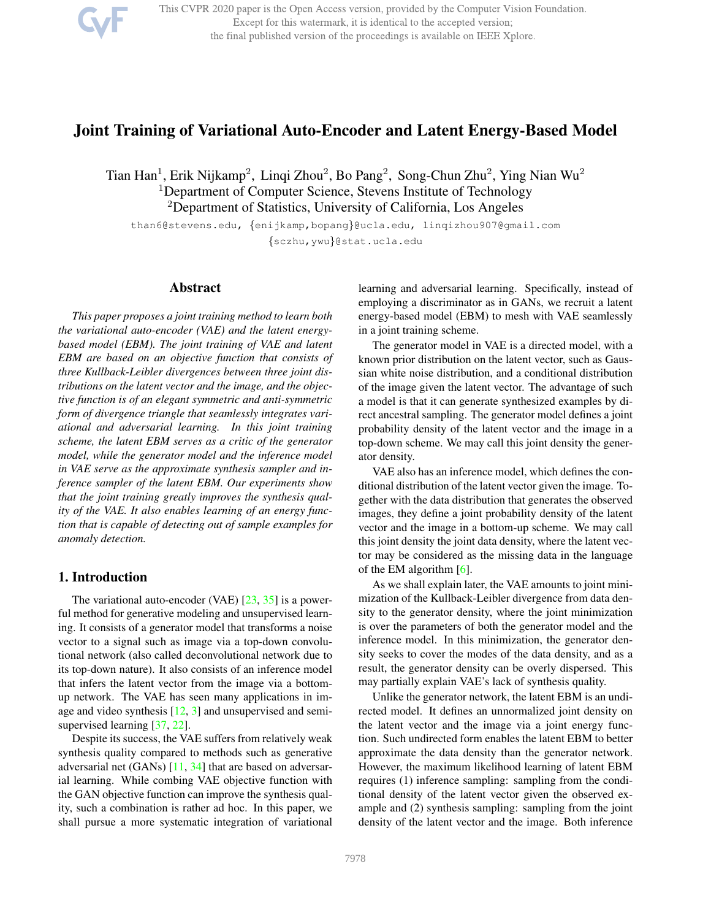

This CVPR 2020 paper is the Open Access version, provided by the Computer Vision Foundation. Except for this watermark, it is identical to the accepted version; the final published version of the proceedings is available on IEEE Xplore.

# Joint Training of Variational Auto-Encoder and Latent Energy-Based Model

Tian Han<sup>1</sup>, Erik Nijkamp<sup>2</sup>, Linqi Zhou<sup>2</sup>, Bo Pang<sup>2</sup>, Song-Chun Zhu<sup>2</sup>, Ying Nian Wu<sup>2</sup> <sup>1</sup>Department of Computer Science, Stevens Institute of Technology <sup>2</sup>Department of Statistics, University of California, Los Angeles

than6@stevens.edu, {enijkamp,bopang}@ucla.edu, linqizhou907@gmail.com {sczhu,ywu}@stat.ucla.edu

### Abstract

*This paper proposes a joint training method to learn both the variational auto-encoder (VAE) and the latent energybased model (EBM). The joint training of VAE and latent EBM are based on an objective function that consists of three Kullback-Leibler divergences between three joint distributions on the latent vector and the image, and the objective function is of an elegant symmetric and anti-symmetric form of divergence triangle that seamlessly integrates variational and adversarial learning. In this joint training scheme, the latent EBM serves as a critic of the generator model, while the generator model and the inference model in VAE serve as the approximate synthesis sampler and inference sampler of the latent EBM. Our experiments show that the joint training greatly improves the synthesis quality of the VAE. It also enables learning of an energy function that is capable of detecting out of sample examples for anomaly detection.*

# 1. Introduction

The variational auto-encoder (VAE)  $[23, 35]$  is a powerful method for generative modeling and unsupervised learning. It consists of a generator model that transforms a noise vector to a signal such as image via a top-down convolutional network (also called deconvolutional network due to its top-down nature). It also consists of an inference model that infers the latent vector from the image via a bottomup network. The VAE has seen many applications in image and video synthesis  $[12, 3]$  and unsupervised and semisupervised learning [37, 22].

Despite its success, the VAE suffers from relatively weak synthesis quality compared to methods such as generative adversarial net (GANs) [11, 34] that are based on adversarial learning. While combing VAE objective function with the GAN objective function can improve the synthesis quality, such a combination is rather ad hoc. In this paper, we shall pursue a more systematic integration of variational learning and adversarial learning. Specifically, instead of employing a discriminator as in GANs, we recruit a latent energy-based model (EBM) to mesh with VAE seamlessly in a joint training scheme.

The generator model in VAE is a directed model, with a known prior distribution on the latent vector, such as Gaussian white noise distribution, and a conditional distribution of the image given the latent vector. The advantage of such a model is that it can generate synthesized examples by direct ancestral sampling. The generator model defines a joint probability density of the latent vector and the image in a top-down scheme. We may call this joint density the generator density.

VAE also has an inference model, which defines the conditional distribution of the latent vector given the image. Together with the data distribution that generates the observed images, they define a joint probability density of the latent vector and the image in a bottom-up scheme. We may call this joint density the joint data density, where the latent vector may be considered as the missing data in the language of the EM algorithm [6].

As we shall explain later, the VAE amounts to joint minimization of the Kullback-Leibler divergence from data density to the generator density, where the joint minimization is over the parameters of both the generator model and the inference model. In this minimization, the generator density seeks to cover the modes of the data density, and as a result, the generator density can be overly dispersed. This may partially explain VAE's lack of synthesis quality.

Unlike the generator network, the latent EBM is an undirected model. It defines an unnormalized joint density on the latent vector and the image via a joint energy function. Such undirected form enables the latent EBM to better approximate the data density than the generator network. However, the maximum likelihood learning of latent EBM requires (1) inference sampling: sampling from the conditional density of the latent vector given the observed example and (2) synthesis sampling: sampling from the joint density of the latent vector and the image. Both inference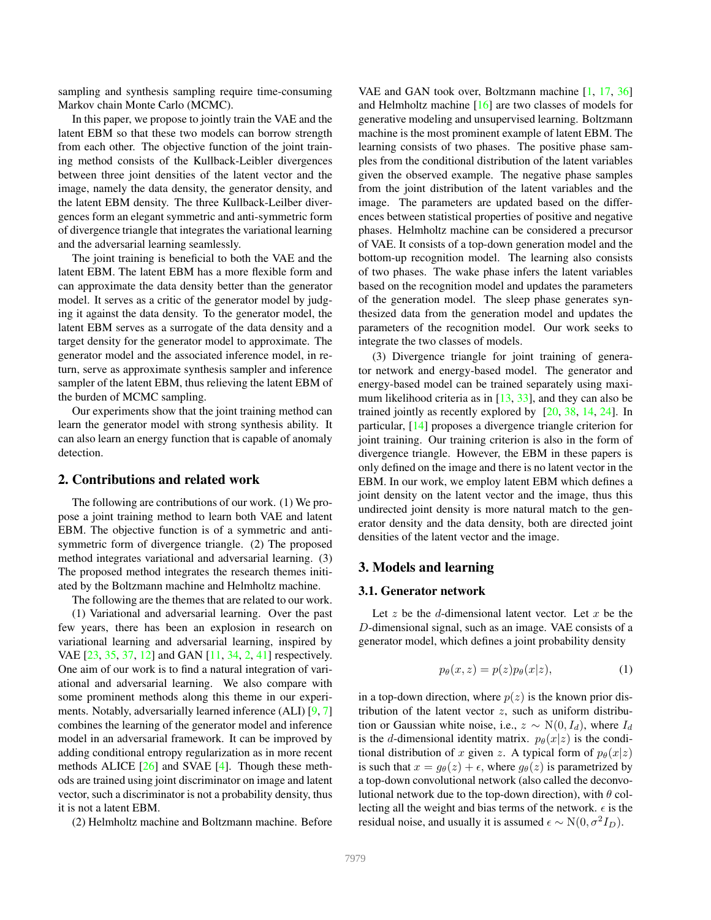sampling and synthesis sampling require time-consuming Markov chain Monte Carlo (MCMC).

In this paper, we propose to jointly train the VAE and the latent EBM so that these two models can borrow strength from each other. The objective function of the joint training method consists of the Kullback-Leibler divergences between three joint densities of the latent vector and the image, namely the data density, the generator density, and the latent EBM density. The three Kullback-Leilber divergences form an elegant symmetric and anti-symmetric form of divergence triangle that integrates the variational learning and the adversarial learning seamlessly.

The joint training is beneficial to both the VAE and the latent EBM. The latent EBM has a more flexible form and can approximate the data density better than the generator model. It serves as a critic of the generator model by judging it against the data density. To the generator model, the latent EBM serves as a surrogate of the data density and a target density for the generator model to approximate. The generator model and the associated inference model, in return, serve as approximate synthesis sampler and inference sampler of the latent EBM, thus relieving the latent EBM of the burden of MCMC sampling.

Our experiments show that the joint training method can learn the generator model with strong synthesis ability. It can also learn an energy function that is capable of anomaly detection.

## 2. Contributions and related work

The following are contributions of our work. (1) We propose a joint training method to learn both VAE and latent EBM. The objective function is of a symmetric and antisymmetric form of divergence triangle. (2) The proposed method integrates variational and adversarial learning. (3) The proposed method integrates the research themes initiated by the Boltzmann machine and Helmholtz machine.

The following are the themes that are related to our work.

(1) Variational and adversarial learning. Over the past few years, there has been an explosion in research on variational learning and adversarial learning, inspired by VAE [23, 35, 37, 12] and GAN [11, 34, 2, 41] respectively. One aim of our work is to find a natural integration of variational and adversarial learning. We also compare with some prominent methods along this theme in our experiments. Notably, adversarially learned inference (ALI) [9, 7] combines the learning of the generator model and inference model in an adversarial framework. It can be improved by adding conditional entropy regularization as in more recent methods ALICE [26] and SVAE [4]. Though these methods are trained using joint discriminator on image and latent vector, such a discriminator is not a probability density, thus it is not a latent EBM.

(2) Helmholtz machine and Boltzmann machine. Before

VAE and GAN took over, Boltzmann machine [1, 17, 36] and Helmholtz machine [16] are two classes of models for generative modeling and unsupervised learning. Boltzmann machine is the most prominent example of latent EBM. The learning consists of two phases. The positive phase samples from the conditional distribution of the latent variables given the observed example. The negative phase samples from the joint distribution of the latent variables and the image. The parameters are updated based on the differences between statistical properties of positive and negative phases. Helmholtz machine can be considered a precursor of VAE. It consists of a top-down generation model and the bottom-up recognition model. The learning also consists of two phases. The wake phase infers the latent variables based on the recognition model and updates the parameters of the generation model. The sleep phase generates synthesized data from the generation model and updates the parameters of the recognition model. Our work seeks to integrate the two classes of models.

(3) Divergence triangle for joint training of generator network and energy-based model. The generator and energy-based model can be trained separately using maximum likelihood criteria as in [13, 33], and they can also be trained jointly as recently explored by [20, 38, 14, 24]. In particular, [14] proposes a divergence triangle criterion for joint training. Our training criterion is also in the form of divergence triangle. However, the EBM in these papers is only defined on the image and there is no latent vector in the EBM. In our work, we employ latent EBM which defines a joint density on the latent vector and the image, thus this undirected joint density is more natural match to the generator density and the data density, both are directed joint densities of the latent vector and the image.

# 3. Models and learning

#### 3.1. Generator network

Let  $z$  be the  $d$ -dimensional latent vector. Let  $x$  be the D-dimensional signal, such as an image. VAE consists of a generator model, which defines a joint probability density

$$
p_{\theta}(x, z) = p(z)p_{\theta}(x|z), \qquad (1)
$$

in a top-down direction, where  $p(z)$  is the known prior distribution of the latent vector  $z$ , such as uniform distribution or Gaussian white noise, i.e.,  $z \sim N(0, I_d)$ , where  $I_d$ is the d-dimensional identity matrix.  $p_{\theta}(x|z)$  is the conditional distribution of x given z. A typical form of  $p_{\theta}(x|z)$ is such that  $x = g_{\theta}(z) + \epsilon$ , where  $g_{\theta}(z)$  is parametrized by a top-down convolutional network (also called the deconvolutional network due to the top-down direction), with  $\theta$  collecting all the weight and bias terms of the network.  $\epsilon$  is the residual noise, and usually it is assumed  $\epsilon \sim N(0, \sigma^2 I_D)$ .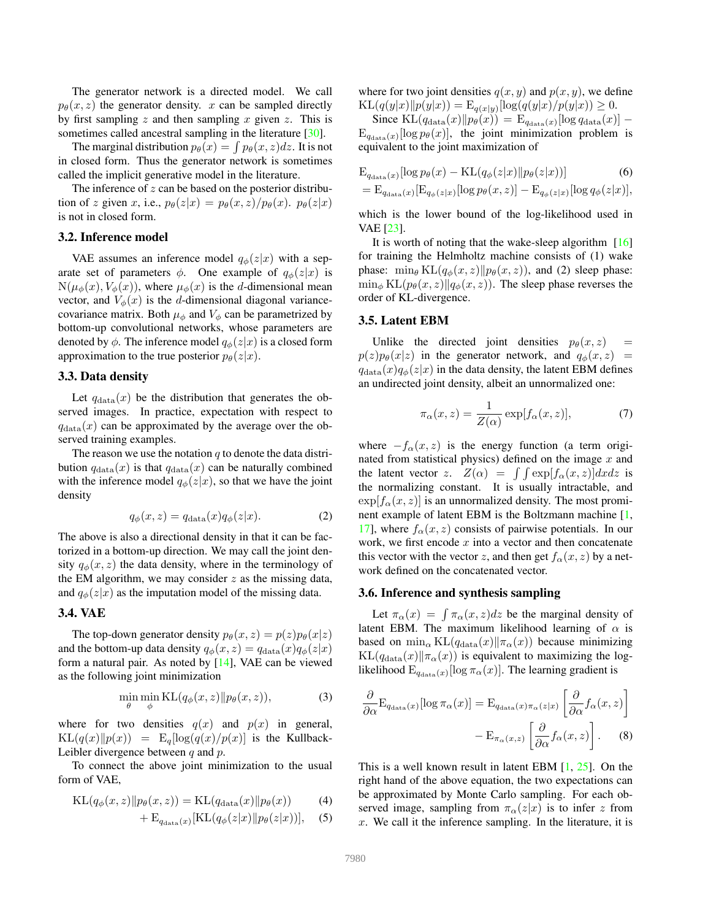The generator network is a directed model. We call  $p_{\theta}(x, z)$  the generator density. x can be sampled directly by first sampling z and then sampling x given z. This is sometimes called ancestral sampling in the literature [30].

The marginal distribution  $p_{\theta}(x) = \int p_{\theta}(x, z) dz$ . It is not in closed form. Thus the generator network is sometimes called the implicit generative model in the literature.

The inference of  $z$  can be based on the posterior distribution of z given x, i.e.,  $p_{\theta}(z|x) = p_{\theta}(x, z)/p_{\theta}(x)$ .  $p_{\theta}(z|x)$ is not in closed form.

#### 3.2. Inference model

VAE assumes an inference model  $q_{\phi}(z|x)$  with a separate set of parameters  $\phi$ . One example of  $q_{\phi}(z|x)$  is  $N(\mu_{\phi}(x), V_{\phi}(x))$ , where  $\mu_{\phi}(x)$  is the *d*-dimensional mean vector, and  $V_{\phi}(x)$  is the d-dimensional diagonal variancecovariance matrix. Both  $\mu_{\phi}$  and  $V_{\phi}$  can be parametrized by bottom-up convolutional networks, whose parameters are denoted by  $\phi$ . The inference model  $q_{\phi}(z|x)$  is a closed form approximation to the true posterior  $p_{\theta}(z|x)$ .

#### 3.3. Data density

Let  $q_{data}(x)$  be the distribution that generates the observed images. In practice, expectation with respect to  $q_{data}(x)$  can be approximated by the average over the observed training examples.

The reason we use the notation  $q$  to denote the data distribution  $q_{data}(x)$  is that  $q_{data}(x)$  can be naturally combined with the inference model  $q_{\phi}(z|x)$ , so that we have the joint density

$$
q_{\phi}(x, z) = q_{\text{data}}(x)q_{\phi}(z|x). \tag{2}
$$

The above is also a directional density in that it can be factorized in a bottom-up direction. We may call the joint density  $q_{\phi}(x, z)$  the data density, where in the terminology of the EM algorithm, we may consider  $z$  as the missing data, and  $q_{\phi}(z|x)$  as the imputation model of the missing data.

# 3.4. VAE

The top-down generator density  $p_{\theta}(x, z) = p(z)p_{\theta}(x|z)$ and the bottom-up data density  $q_{\phi}(x, z) = q_{data}(x)q_{\phi}(z|x)$ form a natural pair. As noted by [14], VAE can be viewed as the following joint minimization

$$
\min_{\theta} \min_{\phi} \mathrm{KL}(q_{\phi}(x, z) \| p_{\theta}(x, z)), \tag{3}
$$

where for two densities  $q(x)$  and  $p(x)$  in general,  $KL(q(x)||p(x)) = E_q[log(q(x)/p(x)]$  is the Kullback-Leibler divergence between  $q$  and  $p$ .

To connect the above joint minimization to the usual form of VAE,

$$
KL(q_{\phi}(x, z)||p_{\theta}(x, z)) = KL(q_{data}(x)||p_{\theta}(x))
$$
 (4)

$$
+ \mathbf{E}_{q_{\text{data}}(x)}[\text{KL}(q_{\phi}(z|x)||p_{\theta}(z|x))], \quad (5)
$$

where for two joint densities  $q(x, y)$  and  $p(x, y)$ , we define  $KL(q(y|x)||p(y|x)) = E_{q(x|y)}[log(q(y|x)/p(y|x)) \ge 0.$ 

Since  $\text{KL}(q_{\text{data}}(x)||p_{\theta}(x)) = \text{E}_{q_{\text{data}}(x)}[\log q_{\text{data}}(x)] E_{q_{data}(x)}[\log p_{\theta}(x)],$  the joint minimization problem is equivalent to the joint maximization of

$$
E_{q_{data}(x)}[\log p_{\theta}(x) - KL(q_{\phi}(z|x)||p_{\theta}(z|x))]
$$
 (6)

$$
= \mathrm{E}_{q_{\mathrm{data}}(x)}[\mathrm{E}_{q_{\phi}(z|x)}[\log p_{\theta}(x,z)] - \mathrm{E}_{q_{\phi}(z|x)}[\log q_{\phi}(z|x)],
$$

which is the lower bound of the log-likelihood used in VAE [23].

It is worth of noting that the wake-sleep algorithm [16] for training the Helmholtz machine consists of (1) wake phase:  $\min_{\theta} \text{KL}(q_{\phi}(x, z)||p_{\theta}(x, z))$ , and (2) sleep phase:  $\min_{\phi} \text{KL}(p_{\theta}(x, z)||q_{\phi}(x, z))$ . The sleep phase reverses the order of KL-divergence.

#### 3.5. Latent EBM

Unlike the directed joint densities  $p_{\theta}(x, z)$  =  $p(z)p_{\theta}(x|z)$  in the generator network, and  $q_{\phi}(x, z)$  =  $q_{data}(x)q_{\phi}(z|x)$  in the data density, the latent EBM defines an undirected joint density, albeit an unnormalized one:

$$
\pi_{\alpha}(x, z) = \frac{1}{Z(\alpha)} \exp[f_{\alpha}(x, z)],\tag{7}
$$

where  $-f_\alpha(x, z)$  is the energy function (a term originated from statistical physics) defined on the image  $x$  and the latent vector z.  $Z(\alpha) = \int \int \exp[f_{\alpha}(x, z)]dxdz$  is the normalizing constant. It is usually intractable, and  $\exp[f_{\alpha}(x, z)]$  is an unnormalized density. The most prominent example of latent EBM is the Boltzmann machine [1, 17], where  $f_{\alpha}(x, z)$  consists of pairwise potentials. In our work, we first encode  $x$  into a vector and then concatenate this vector with the vector z, and then get  $f_{\alpha}(x, z)$  by a network defined on the concatenated vector.

## 3.6. Inference and synthesis sampling

Let  $\pi_{\alpha}(x) = \int \pi_{\alpha}(x, z) dz$  be the marginal density of latent EBM. The maximum likelihood learning of  $\alpha$  is based on  $\min_{\alpha} \text{KL}(q_{\text{data}}(x) \| \pi_{\alpha}(x))$  because minimizing  $KL(q_{data}(x)||\pi_{\alpha}(x))$  is equivalent to maximizing the loglikelihood  $E_{q_{data}(x)}[\log \pi_{\alpha}(x)]$ . The learning gradient is

$$
\frac{\partial}{\partial \alpha} \mathcal{E}_{q_{\text{data}}(x)}[\log \pi_{\alpha}(x)] = \mathcal{E}_{q_{\text{data}}(x)\pi_{\alpha}(z|x)} \left[ \frac{\partial}{\partial \alpha} f_{\alpha}(x, z) \right] - \mathcal{E}_{\pi_{\alpha}(x, z)} \left[ \frac{\partial}{\partial \alpha} f_{\alpha}(x, z) \right].
$$
 (8)

This is a well known result in latent EBM  $[1, 25]$ . On the right hand of the above equation, the two expectations can be approximated by Monte Carlo sampling. For each observed image, sampling from  $\pi_{\alpha}(z|x)$  is to infer z from  $x$ . We call it the inference sampling. In the literature, it is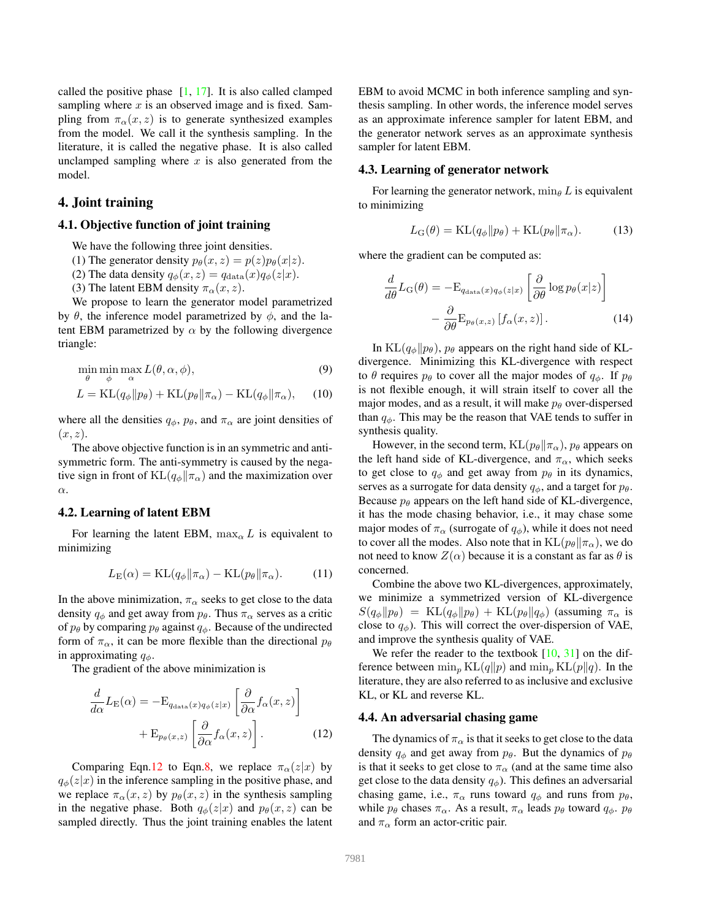called the positive phase  $[1, 17]$ . It is also called clamped sampling where  $x$  is an observed image and is fixed. Sampling from  $\pi_{\alpha}(x, z)$  is to generate synthesized examples from the model. We call it the synthesis sampling. In the literature, it is called the negative phase. It is also called unclamped sampling where  $x$  is also generated from the model.

## 4. Joint training

### 4.1. Objective function of joint training

- We have the following three joint densities.
- (1) The generator density  $p_{\theta}(x, z) = p(z)p_{\theta}(x|z)$ .
- (2) The data density  $q_{\phi}(x, z) = q_{data}(x)q_{\phi}(z|x)$ .
- (3) The latent EBM density  $\pi_{\alpha}(x, z)$ .

We propose to learn the generator model parametrized by θ, the inference model parametrized by  $\phi$ , and the latent EBM parametrized by  $\alpha$  by the following divergence triangle:

$$
\min_{\theta} \min_{\phi} \max_{\alpha} L(\theta, \alpha, \phi),
$$
\n(9)

$$
L = \text{KL}(q_{\phi} \| p_{\theta}) + \text{KL}(p_{\theta} \| \pi_{\alpha}) - \text{KL}(q_{\phi} \| \pi_{\alpha}), \quad (10)
$$

where all the densities  $q_{\phi}$ ,  $p_{\theta}$ , and  $\pi_{\alpha}$  are joint densities of  $(x, z)$ .

The above objective function is in an symmetric and antisymmetric form. The anti-symmetry is caused by the negative sign in front of  $KL(q_{\phi}||\pi_{\alpha})$  and the maximization over α.

#### 4.2. Learning of latent EBM

For learning the latent EBM,  $\max_{\alpha} L$  is equivalent to minimizing

$$
L_{\mathcal{E}}(\alpha) = \mathcal{KL}(q_{\phi} \| \pi_{\alpha}) - \mathcal{KL}(p_{\theta} \| \pi_{\alpha}).
$$
 (11)

In the above minimization,  $\pi_{\alpha}$  seeks to get close to the data density  $q_{\phi}$  and get away from  $p_{\theta}$ . Thus  $\pi_{\alpha}$  serves as a critic of  $p_{\theta}$  by comparing  $p_{\theta}$  against  $q_{\phi}$ . Because of the undirected form of  $\pi_{\alpha}$ , it can be more flexible than the directional  $p_{\theta}$ in approximating  $q_{\phi}$ .

The gradient of the above minimization is

$$
\frac{d}{d\alpha}L_{\mathcal{E}}(\alpha) = -\mathcal{E}_{q_{\text{data}}(x)q_{\phi}(z|x)} \left[\frac{\partial}{\partial\alpha}f_{\alpha}(x,z)\right] + \mathcal{E}_{p_{\theta}(x,z)} \left[\frac{\partial}{\partial\alpha}f_{\alpha}(x,z)\right].
$$
\n(12)

Comparing Eqn.12 to Eqn.8, we replace  $\pi_{\alpha}(z|x)$  by  $q_{\phi}(z|x)$  in the inference sampling in the positive phase, and we replace  $\pi_{\alpha}(x, z)$  by  $p_{\theta}(x, z)$  in the synthesis sampling in the negative phase. Both  $q_{\phi}(z|x)$  and  $p_{\theta}(x, z)$  can be sampled directly. Thus the joint training enables the latent EBM to avoid MCMC in both inference sampling and synthesis sampling. In other words, the inference model serves as an approximate inference sampler for latent EBM, and the generator network serves as an approximate synthesis sampler for latent EBM.

#### 4.3. Learning of generator network

For learning the generator network,  $\min_{\theta} L$  is equivalent to minimizing

$$
L_{\mathcal{G}}(\theta) = \mathrm{KL}(q_{\phi} \| p_{\theta}) + \mathrm{KL}(p_{\theta} \| \pi_{\alpha}). \tag{13}
$$

where the gradient can be computed as:

$$
\frac{d}{d\theta}L_{\mathcal{G}}(\theta) = -\mathcal{E}_{q_{\text{data}}(x)q_{\phi}(z|x)} \left[\frac{\partial}{\partial \theta} \log p_{\theta}(x|z)\right] - \frac{\partial}{\partial \theta} \mathcal{E}_{p_{\theta}(x,z)} \left[f_{\alpha}(x,z)\right].
$$
\n(14)

In  $KL(q_{\phi}||p_{\theta})$ ,  $p_{\theta}$  appears on the right hand side of KLdivergence. Minimizing this KL-divergence with respect to  $\theta$  requires  $p_{\theta}$  to cover all the major modes of  $q_{\phi}$ . If  $p_{\theta}$ is not flexible enough, it will strain itself to cover all the major modes, and as a result, it will make  $p_{\theta}$  over-dispersed than  $q_{\phi}$ . This may be the reason that VAE tends to suffer in synthesis quality.

However, in the second term,  $KL(p_\theta || \pi_\alpha)$ ,  $p_\theta$  appears on the left hand side of KL-divergence, and  $\pi_{\alpha}$ , which seeks to get close to  $q_{\phi}$  and get away from  $p_{\theta}$  in its dynamics, serves as a surrogate for data density  $q_{\phi}$ , and a target for  $p_{\theta}$ . Because  $p_{\theta}$  appears on the left hand side of KL-divergence, it has the mode chasing behavior, i.e., it may chase some major modes of  $\pi_{\alpha}$  (surrogate of  $q_{\phi}$ ), while it does not need to cover all the modes. Also note that in  $KL(p_\theta || \pi_\alpha)$ , we do not need to know  $Z(\alpha)$  because it is a constant as far as  $\theta$  is concerned.

Combine the above two KL-divergences, approximately, we minimize a symmetrized version of KL-divergence  $S(q_{\phi}||p_{\theta}) = \text{KL}(q_{\phi}||p_{\theta}) + \text{KL}(p_{\theta}||q_{\phi})$  (assuming  $\pi_{\alpha}$  is close to  $q_{\phi}$ ). This will correct the over-dispersion of VAE, and improve the synthesis quality of VAE.

We refer the reader to the textbook  $[10, 31]$  on the difference between  $\min_p KL(q||p)$  and  $\min_p KL(p||q)$ . In the literature, they are also referred to as inclusive and exclusive KL, or KL and reverse KL.

#### 4.4. An adversarial chasing game

The dynamics of  $\pi_{\alpha}$  is that it seeks to get close to the data density  $q_{\phi}$  and get away from  $p_{\theta}$ . But the dynamics of  $p_{\theta}$ is that it seeks to get close to  $\pi_{\alpha}$  (and at the same time also get close to the data density  $q_{\phi}$ ). This defines an adversarial chasing game, i.e.,  $\pi_{\alpha}$  runs toward  $q_{\phi}$  and runs from  $p_{\theta}$ , while  $p_\theta$  chases  $\pi_\alpha$ . As a result,  $\pi_\alpha$  leads  $p_\theta$  toward  $q_\phi$ .  $p_\theta$ and  $\pi_{\alpha}$  form an actor-critic pair.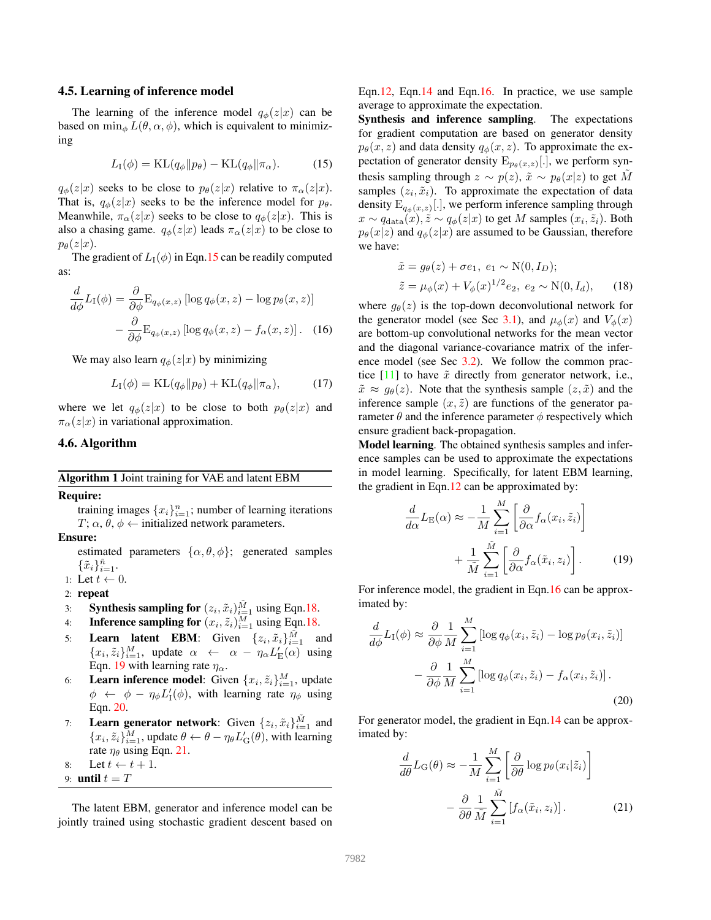#### 4.5. Learning of inference model

The learning of the inference model  $q_{\phi}(z|x)$  can be based on  $\min_{\phi} L(\theta, \alpha, \phi)$ , which is equivalent to minimizing

$$
L_{\rm I}(\phi) = \mathrm{KL}(q_{\phi} \| p_{\theta}) - \mathrm{KL}(q_{\phi} \| \pi_{\alpha}). \tag{15}
$$

 $q_{\phi}(z|x)$  seeks to be close to  $p_{\theta}(z|x)$  relative to  $\pi_{\alpha}(z|x)$ . That is,  $q_{\phi}(z|x)$  seeks to be the inference model for  $p_{\theta}$ . Meanwhile,  $\pi_{\alpha}(z|x)$  seeks to be close to  $q_{\phi}(z|x)$ . This is also a chasing game.  $q_{\phi}(z|x)$  leads  $\pi_{\alpha}(z|x)$  to be close to  $p_{\theta}(z|x).$ 

The gradient of  $L_1(\phi)$  in Eqn.15 can be readily computed as:

$$
\frac{d}{d\phi}L_{\rm I}(\phi) = \frac{\partial}{\partial\phi} \mathcal{E}_{q_{\phi}(x,z)} \left[ \log q_{\phi}(x,z) - \log p_{\theta}(x,z) \right] \n- \frac{\partial}{\partial\phi} \mathcal{E}_{q_{\phi}(x,z)} \left[ \log q_{\phi}(x,z) - f_{\alpha}(x,z) \right].
$$
\n(16)

We may also learn  $q_{\phi}(z|x)$  by minimizing

$$
L_{\rm I}(\phi) = \mathrm{KL}(q_{\phi} \| p_{\theta}) + \mathrm{KL}(q_{\phi} \| \pi_{\alpha}), \tag{17}
$$

where we let  $q_{\phi}(z|x)$  to be close to both  $p_{\theta}(z|x)$  and  $\pi_{\alpha}(z|x)$  in variational approximation.

# 4.6. Algorithm

Algorithm 1 Joint training for VAE and latent EBM

Require:

training images  $\{x_i\}_{i=1}^n$ ; number of learning iterations  $T; \alpha, \theta, \phi \leftarrow$  initialized network parameters.

Ensure:

estimated parameters  $\{\alpha, \theta, \phi\}$ ; generated samples  $\{\tilde{x}_i\}_{i=1}^{\tilde{n}}$ .

- 1: Let  $t \leftarrow 0$ .
- 2: repeat
- 3: **Synthesis sampling for**  $(z_i, \tilde{x}_i)_{i=1}^{\tilde{M}}$  using Eqn.18.
- 4: **Inference sampling for**  $(x_i, \tilde{z}_i)_{i=1}^M$  using Eqn.18.
- 5: **Learn latent EBM**: Given  $\{z_i, \tilde{x}_i\}_{i=1}^{\tilde{M}}$  and  ${x_i, \tilde{z}_i}_{i=1}^M$ , update  $\alpha \leftarrow \alpha - \eta_\alpha L'_E(\alpha)$  using Eqn. 19 with learning rate  $\eta_{\alpha}$ .
- 6: Learn inference model: Given  $\{x_i, \tilde{z}_i\}_{i=1}^M$ , update  $\phi \leftarrow \phi - \eta_{\phi} L'_{1}(\phi)$ , with learning rate  $\eta_{\phi}$  using Eqn. 20.
- 7: Learn generator network: Given  $\{z_i, \tilde{x}_i\}_{i=1}^{\tilde{M}}$  and  ${x_i, \tilde{z}_i}_{i=1}^M$ , update  $\theta \leftarrow \theta - \eta_{\theta} L'_{G}(\theta)$ , with learning rate  $\eta_{\theta}$  using Eqn. 21.

8: Let 
$$
t \leftarrow t + 1
$$
.

9: **until**  $t = T$ 

The latent EBM, generator and inference model can be jointly trained using stochastic gradient descent based on Eqn.12, Eqn.14 and Eqn.16. In practice, we use sample average to approximate the expectation.

Synthesis and inference sampling. The expectations for gradient computation are based on generator density  $p_{\theta}(x, z)$  and data density  $q_{\phi}(x, z)$ . To approximate the expectation of generator density  $E_{p_{\theta}(x,z)}[.]$ , we perform synthesis sampling through  $z \sim p(z)$ ,  $\tilde{x} \sim p_{\theta}(x|z)$  to get M samples  $(z_i, \tilde{x}_i)$ . To approximate the expectation of data density  $E_{q_{\phi}(x,z)}$  [.], we perform inference sampling through  $x \sim q_{\text{data}}(x), \tilde{z} \sim q_{\phi}(z|x)$  to get M samples  $(x_i, \tilde{z}_i)$ . Both  $p_{\theta}(x|z)$  and  $q_{\phi}(z|x)$  are assumed to be Gaussian, therefore we have:

$$
\tilde{x} = g_{\theta}(z) + \sigma e_1, e_1 \sim N(0, I_D);
$$
  
\n
$$
\tilde{z} = \mu_{\phi}(x) + V_{\phi}(x)^{1/2} e_2, e_2 \sim N(0, I_d),
$$
 (18)

where  $g_{\theta}(z)$  is the top-down deconvolutional network for the generator model (see Sec 3.1), and  $\mu_{\phi}(x)$  and  $V_{\phi}(x)$ are bottom-up convolutional networks for the mean vector and the diagonal variance-covariance matrix of the inference model (see Sec 3.2). We follow the common practice  $[11]$  to have  $\tilde{x}$  directly from generator network, i.e.,  $\tilde{x} \approx g_{\theta}(z)$ . Note that the synthesis sample  $(z, \tilde{x})$  and the inference sample  $(x, \tilde{z})$  are functions of the generator parameter  $\theta$  and the inference parameter  $\phi$  respectively which ensure gradient back-propagation.

Model learning. The obtained synthesis samples and inference samples can be used to approximate the expectations in model learning. Specifically, for latent EBM learning, the gradient in Eqn.12 can be approximated by:

$$
\frac{d}{d\alpha}L_{\mathcal{E}}(\alpha) \approx -\frac{1}{M} \sum_{i=1}^{M} \left[ \frac{\partial}{\partial \alpha} f_{\alpha}(x_i, \tilde{z}_i) \right] + \frac{1}{\tilde{M}} \sum_{i=1}^{\tilde{M}} \left[ \frac{\partial}{\partial \alpha} f_{\alpha}(\tilde{x}_i, z_i) \right].
$$
 (19)

For inference model, the gradient in Eqn.16 can be approximated by:

$$
\frac{d}{d\phi}L_{\rm I}(\phi) \approx \frac{\partial}{\partial \phi} \frac{1}{M} \sum_{i=1}^{M} \left[ \log q_{\phi}(x_i, \tilde{z}_i) - \log p_{\theta}(x_i, \tilde{z}_i) \right] \n- \frac{\partial}{\partial \phi} \frac{1}{M} \sum_{i=1}^{M} \left[ \log q_{\phi}(x_i, \tilde{z}_i) - f_{\alpha}(x_i, \tilde{z}_i) \right].
$$
\n(20)

For generator model, the gradient in Eqn.14 can be approximated by:

$$
\frac{d}{d\theta}L_{\mathcal{G}}(\theta) \approx -\frac{1}{M} \sum_{i=1}^{M} \left[ \frac{\partial}{\partial \theta} \log p_{\theta}(x_i | \tilde{z}_i) \right] \n- \frac{\partial}{\partial \theta} \frac{1}{\tilde{M}} \sum_{i=1}^{\tilde{M}} \left[ f_{\alpha}(\tilde{x}_i, z_i) \right].
$$
\n(21)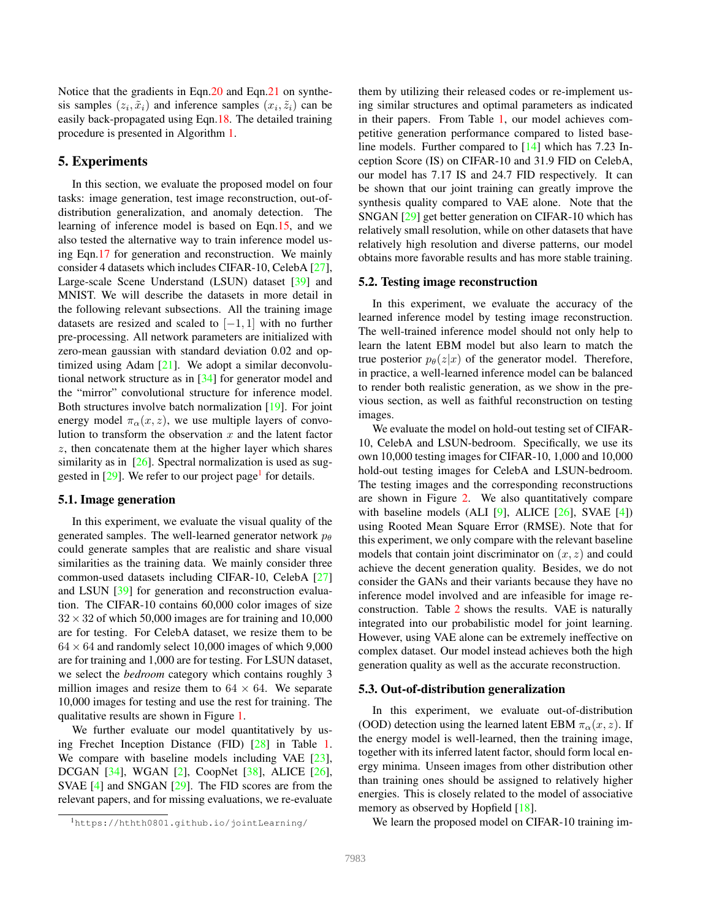Notice that the gradients in Eqn.20 and Eqn.21 on synthesis samples  $(z_i, \tilde{x}_i)$  and inference samples  $(x_i, \tilde{z}_i)$  can be easily back-propagated using Eqn.18. The detailed training procedure is presented in Algorithm 1.

# 5. Experiments

In this section, we evaluate the proposed model on four tasks: image generation, test image reconstruction, out-ofdistribution generalization, and anomaly detection. The learning of inference model is based on Eqn.15, and we also tested the alternative way to train inference model using Eqn.17 for generation and reconstruction. We mainly consider 4 datasets which includes CIFAR-10, CelebA [27], Large-scale Scene Understand (LSUN) dataset [39] and MNIST. We will describe the datasets in more detail in the following relevant subsections. All the training image datasets are resized and scaled to  $[-1, 1]$  with no further pre-processing. All network parameters are initialized with zero-mean gaussian with standard deviation 0.02 and optimized using Adam [21]. We adopt a similar deconvolutional network structure as in [34] for generator model and the "mirror" convolutional structure for inference model. Both structures involve batch normalization [19]. For joint energy model  $\pi_{\alpha}(x, z)$ , we use multiple layers of convolution to transform the observation  $x$  and the latent factor z, then concatenate them at the higher layer which shares similarity as in [26]. Spectral normalization is used as suggested in [29]. We refer to our project page<sup>1</sup> for details.

#### 5.1. Image generation

In this experiment, we evaluate the visual quality of the generated samples. The well-learned generator network  $p_{\theta}$ could generate samples that are realistic and share visual similarities as the training data. We mainly consider three common-used datasets including CIFAR-10, CelebA [27] and LSUN [39] for generation and reconstruction evaluation. The CIFAR-10 contains 60,000 color images of size  $32 \times 32$  of which 50,000 images are for training and 10,000 are for testing. For CelebA dataset, we resize them to be  $64 \times 64$  and randomly select 10,000 images of which 9,000 are for training and 1,000 are for testing. For LSUN dataset, we select the *bedroom* category which contains roughly 3 million images and resize them to  $64 \times 64$ . We separate 10,000 images for testing and use the rest for training. The qualitative results are shown in Figure 1.

We further evaluate our model quantitatively by using Frechet Inception Distance (FID) [28] in Table 1. We compare with baseline models including VAE [23], DCGAN [34], WGAN [2], CoopNet [38], ALICE [26], SVAE [4] and SNGAN [29]. The FID scores are from the relevant papers, and for missing evaluations, we re-evaluate

them by utilizing their released codes or re-implement using similar structures and optimal parameters as indicated in their papers. From Table 1, our model achieves competitive generation performance compared to listed baseline models. Further compared to [14] which has 7.23 Inception Score (IS) on CIFAR-10 and 31.9 FID on CelebA, our model has 7.17 IS and 24.7 FID respectively. It can be shown that our joint training can greatly improve the synthesis quality compared to VAE alone. Note that the SNGAN [29] get better generation on CIFAR-10 which has relatively small resolution, while on other datasets that have relatively high resolution and diverse patterns, our model obtains more favorable results and has more stable training.

#### 5.2. Testing image reconstruction

In this experiment, we evaluate the accuracy of the learned inference model by testing image reconstruction. The well-trained inference model should not only help to learn the latent EBM model but also learn to match the true posterior  $p_{\theta}(z|x)$  of the generator model. Therefore, in practice, a well-learned inference model can be balanced to render both realistic generation, as we show in the previous section, as well as faithful reconstruction on testing images.

We evaluate the model on hold-out testing set of CIFAR-10, CelebA and LSUN-bedroom. Specifically, we use its own 10,000 testing images for CIFAR-10, 1,000 and 10,000 hold-out testing images for CelebA and LSUN-bedroom. The testing images and the corresponding reconstructions are shown in Figure 2. We also quantitatively compare with baseline models (ALI  $[9]$ , ALICE  $[26]$ , SVAE  $[4]$ ) using Rooted Mean Square Error (RMSE). Note that for this experiment, we only compare with the relevant baseline models that contain joint discriminator on  $(x, z)$  and could achieve the decent generation quality. Besides, we do not consider the GANs and their variants because they have no inference model involved and are infeasible for image reconstruction. Table 2 shows the results. VAE is naturally integrated into our probabilistic model for joint learning. However, using VAE alone can be extremely ineffective on complex dataset. Our model instead achieves both the high generation quality as well as the accurate reconstruction.

#### 5.3. Out-of-distribution generalization

In this experiment, we evaluate out-of-distribution (OOD) detection using the learned latent EBM  $\pi_{\alpha}(x, z)$ . If the energy model is well-learned, then the training image, together with its inferred latent factor, should form local energy minima. Unseen images from other distribution other than training ones should be assigned to relatively higher energies. This is closely related to the model of associative memory as observed by Hopfield [18].

We learn the proposed model on CIFAR-10 training im-

<sup>1</sup>https://hthth0801.github.io/jointLearning/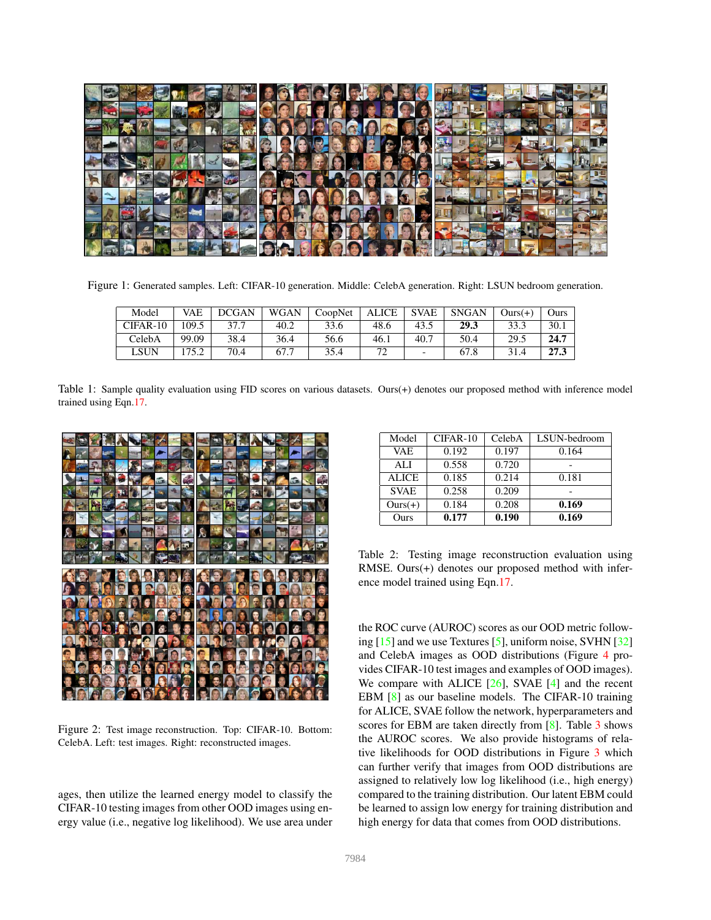

Figure 1: Generated samples. Left: CIFAR-10 generation. Middle: CelebA generation. Right: LSUN bedroom generation.

| Model    | VAE   | DCGAN | WGAN | CoopNet | ALICE | <b>SVAE</b> | <b>SNGAN</b> | $Ours(+)$ | Ours |
|----------|-------|-------|------|---------|-------|-------------|--------------|-----------|------|
| CIFAR-10 | 109.5 | 37.7  | 40.2 | 33.6    | 48.6  | 43.5        | 29.3         | 33.3      | 30.1 |
| CelebA   | 99.09 | 38.4  | 36.4 | 56.6    | 46.1  | 40.7        | 50.4         | 29.5      | 24.7 |
| LSUN     | 175.2 | 70.4  | 67.7 | 35.4    |       |             | 67.8         |           | 27.3 |

Table 1: Sample quality evaluation using FID scores on various datasets. Ours(+) denotes our proposed method with inference model trained using Eqn.17.



Figure 2: Test image reconstruction. Top: CIFAR-10. Bottom: CelebA. Left: test images. Right: reconstructed images.

ages, then utilize the learned energy model to classify the CIFAR-10 testing images from other OOD images using energy value (i.e., negative log likelihood). We use area under

| Model       | CIFAR-10 | CelebA | LSUN-bedroom |
|-------------|----------|--------|--------------|
| <b>VAE</b>  | 0.192    | 0.197  | 0.164        |
| ALI         | 0.558    | 0.720  |              |
| ALICE       | 0.185    | 0.214  | 0.181        |
| <b>SVAE</b> | 0.258    | 0.209  |              |
| $Ours(+)$   | 0.184    | 0.208  | 0.169        |
| Ours        | 0.177    | 0.190  | 0.169        |

Table 2: Testing image reconstruction evaluation using RMSE. Ours(+) denotes our proposed method with inference model trained using Eqn.17.

the ROC curve (AUROC) scores as our OOD metric following [15] and we use Textures [5], uniform noise, SVHN [32] and CelebA images as OOD distributions (Figure 4 provides CIFAR-10 test images and examples of OOD images). We compare with ALICE  $[26]$ , SVAE  $[4]$  and the recent EBM [8] as our baseline models. The CIFAR-10 training for ALICE, SVAE follow the network, hyperparameters and scores for EBM are taken directly from [8]. Table 3 shows the AUROC scores. We also provide histograms of relative likelihoods for OOD distributions in Figure 3 which can further verify that images from OOD distributions are assigned to relatively low log likelihood (i.e., high energy) compared to the training distribution. Our latent EBM could be learned to assign low energy for training distribution and high energy for data that comes from OOD distributions.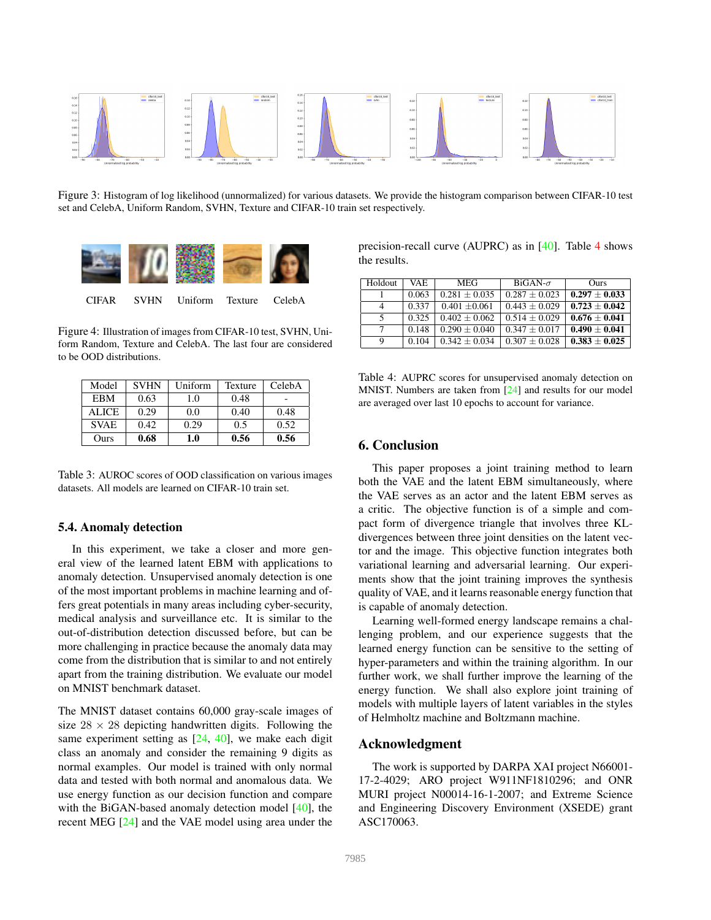

Figure 3: Histogram of log likelihood (unnormalized) for various datasets. We provide the histogram comparison between CIFAR-10 test set and CelebA, Uniform Random, SVHN, Texture and CIFAR-10 train set respectively.



Figure 4: Illustration of images from CIFAR-10 test, SVHN, Uniform Random, Texture and CelebA. The last four are considered to be OOD distributions.

| Model       | <b>SVHN</b> | Uniform | Texture | CelebA |
|-------------|-------------|---------|---------|--------|
| EBM         | 0.63        | 1.0     | 0.48    |        |
| ALICE       | 0.29        | 0.0     | 0.40    | 0.48   |
| <b>SVAE</b> | 0.42        | 0.29    | 0.5     | 0.52   |
| Ours        | 0.68        | 1.0     | 0.56    | 0.56   |

Table 3: AUROC scores of OOD classification on various images datasets. All models are learned on CIFAR-10 train set.

# 5.4. Anomaly detection

In this experiment, we take a closer and more general view of the learned latent EBM with applications to anomaly detection. Unsupervised anomaly detection is one of the most important problems in machine learning and offers great potentials in many areas including cyber-security, medical analysis and surveillance etc. It is similar to the out-of-distribution detection discussed before, but can be more challenging in practice because the anomaly data may come from the distribution that is similar to and not entirely apart from the training distribution. We evaluate our model on MNIST benchmark dataset.

The MNIST dataset contains 60,000 gray-scale images of size  $28 \times 28$  depicting handwritten digits. Following the same experiment setting as [24, 40], we make each digit class an anomaly and consider the remaining 9 digits as normal examples. Our model is trained with only normal data and tested with both normal and anomalous data. We use energy function as our decision function and compare with the BiGAN-based anomaly detection model [40], the recent MEG [24] and the VAE model using area under the

precision-recall curve (AUPRC) as in [40]. Table 4 shows the results.

| Holdout | VAE.  | <b>MEG</b>      | $BiGAN-\sigma$    | Ours              |
|---------|-------|-----------------|-------------------|-------------------|
|         | 0.063 | $0.281 + 0.035$ | $0.287 + 0.023$   | $0.297 + 0.033$   |
| 4       | 0.337 | $0.401 + 0.061$ | $0.443 \pm 0.029$ | $0.723 + 0.042$   |
| 5       | 0.325 | $0.402 + 0.062$ | $0.514 + 0.029$   | $0.676 + 0.041$   |
|         | 0.148 | $0.290 + 0.040$ | $0.347 + 0.017$   | $0.490 \pm 0.041$ |
| 9       | 0.104 | $0.342 + 0.034$ | $0.307 + 0.028$   | $0.383 \pm 0.025$ |

Table 4: AUPRC scores for unsupervised anomaly detection on MNIST. Numbers are taken from [24] and results for our model are averaged over last 10 epochs to account for variance.

# 6. Conclusion

This paper proposes a joint training method to learn both the VAE and the latent EBM simultaneously, where the VAE serves as an actor and the latent EBM serves as a critic. The objective function is of a simple and compact form of divergence triangle that involves three KLdivergences between three joint densities on the latent vector and the image. This objective function integrates both variational learning and adversarial learning. Our experiments show that the joint training improves the synthesis quality of VAE, and it learns reasonable energy function that is capable of anomaly detection.

Learning well-formed energy landscape remains a challenging problem, and our experience suggests that the learned energy function can be sensitive to the setting of hyper-parameters and within the training algorithm. In our further work, we shall further improve the learning of the energy function. We shall also explore joint training of models with multiple layers of latent variables in the styles of Helmholtz machine and Boltzmann machine.

### Acknowledgment

The work is supported by DARPA XAI project N66001- 17-2-4029; ARO project W911NF1810296; and ONR MURI project N00014-16-1-2007; and Extreme Science and Engineering Discovery Environment (XSEDE) grant ASC170063.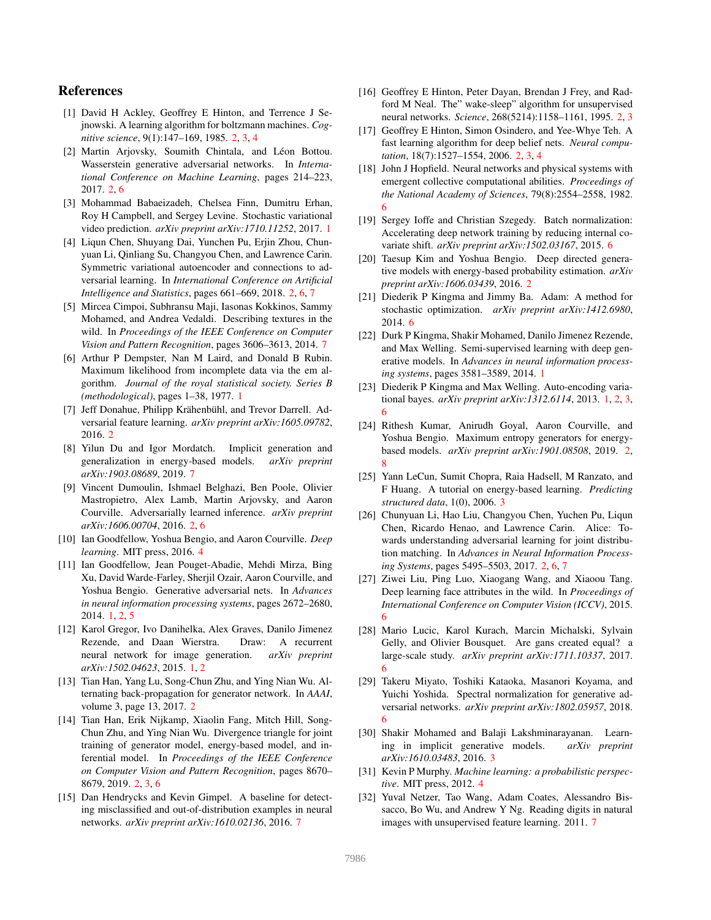# References

- [1] David H Ackley, Geoffrey E Hinton, and Terrence J Sejnowski. A learning algorithm for boltzmann machines. *Cognitive science*, 9(1):147–169, 1985. 2, 3, 4
- [2] Martin Arjovsky, Soumith Chintala, and Léon Bottou. Wasserstein generative adversarial networks. In *International Conference on Machine Learning*, pages 214–223, 2017. 2, 6
- [3] Mohammad Babaeizadeh, Chelsea Finn, Dumitru Erhan, Roy H Campbell, and Sergey Levine. Stochastic variational video prediction. *arXiv preprint arXiv:1710.11252*, 2017. 1
- [4] Liqun Chen, Shuyang Dai, Yunchen Pu, Erjin Zhou, Chunyuan Li, Qinliang Su, Changyou Chen, and Lawrence Carin. Symmetric variational autoencoder and connections to adversarial learning. In *International Conference on Artificial Intelligence and Statistics*, pages 661–669, 2018. 2, 6, 7
- [5] Mircea Cimpoi, Subhransu Maji, Iasonas Kokkinos, Sammy Mohamed, and Andrea Vedaldi. Describing textures in the wild. In *Proceedings of the IEEE Conference on Computer Vision and Pattern Recognition*, pages 3606–3613, 2014. 7
- [6] Arthur P Dempster, Nan M Laird, and Donald B Rubin. Maximum likelihood from incomplete data via the em algorithm. *Journal of the royal statistical society. Series B (methodological)*, pages 1–38, 1977. 1
- [7] Jeff Donahue, Philipp Krähenbühl, and Trevor Darrell. Adversarial feature learning. *arXiv preprint arXiv:1605.09782*, 2016. 2
- [8] Yilun Du and Igor Mordatch. Implicit generation and generalization in energy-based models. *arXiv preprint arXiv:1903.08689*, 2019. 7
- [9] Vincent Dumoulin, Ishmael Belghazi, Ben Poole, Olivier Mastropietro, Alex Lamb, Martin Arjovsky, and Aaron Courville. Adversarially learned inference. *arXiv preprint arXiv:1606.00704*, 2016. 2, 6
- [10] Ian Goodfellow, Yoshua Bengio, and Aaron Courville. *Deep learning*. MIT press, 2016. 4
- [11] Ian Goodfellow, Jean Pouget-Abadie, Mehdi Mirza, Bing Xu, David Warde-Farley, Sherjil Ozair, Aaron Courville, and Yoshua Bengio. Generative adversarial nets. In *Advances in neural information processing systems*, pages 2672–2680, 2014. 1, 2, 5
- [12] Karol Gregor, Ivo Danihelka, Alex Graves, Danilo Jimenez Rezende, and Daan Wierstra. Draw: A recurrent neural network for image generation. *arXiv preprint arXiv:1502.04623*, 2015. 1, 2
- [13] Tian Han, Yang Lu, Song-Chun Zhu, and Ying Nian Wu. Alternating back-propagation for generator network. In *AAAI*, volume 3, page 13, 2017. 2
- [14] Tian Han, Erik Nijkamp, Xiaolin Fang, Mitch Hill, Song-Chun Zhu, and Ying Nian Wu. Divergence triangle for joint training of generator model, energy-based model, and inferential model. In *Proceedings of the IEEE Conference on Computer Vision and Pattern Recognition*, pages 8670– 8679, 2019. 2, 3, 6
- [15] Dan Hendrycks and Kevin Gimpel. A baseline for detecting misclassified and out-of-distribution examples in neural networks. *arXiv preprint arXiv:1610.02136*, 2016. 7
- [16] Geoffrey E Hinton, Peter Dayan, Brendan J Frey, and Radford M Neal. The" wake-sleep" algorithm for unsupervised neural networks. *Science*, 268(5214):1158–1161, 1995. 2, 3
- [17] Geoffrey E Hinton, Simon Osindero, and Yee-Whye Teh. A fast learning algorithm for deep belief nets. *Neural computation*, 18(7):1527–1554, 2006. 2, 3, 4
- [18] John J Hopfield. Neural networks and physical systems with emergent collective computational abilities. *Proceedings of the National Academy of Sciences*, 79(8):2554–2558, 1982. 6
- [19] Sergey Ioffe and Christian Szegedy. Batch normalization: Accelerating deep network training by reducing internal covariate shift. *arXiv preprint arXiv:1502.03167*, 2015. 6
- [20] Taesup Kim and Yoshua Bengio. Deep directed generative models with energy-based probability estimation. *arXiv preprint arXiv:1606.03439*, 2016. 2
- [21] Diederik P Kingma and Jimmy Ba. Adam: A method for stochastic optimization. *arXiv preprint arXiv:1412.6980*, 2014. 6
- [22] Durk P Kingma, Shakir Mohamed, Danilo Jimenez Rezende, and Max Welling. Semi-supervised learning with deep generative models. In *Advances in neural information processing systems*, pages 3581–3589, 2014. 1
- [23] Diederik P Kingma and Max Welling. Auto-encoding variational bayes. *arXiv preprint arXiv:1312.6114*, 2013. 1, 2, 3, 6
- [24] Rithesh Kumar, Anirudh Goyal, Aaron Courville, and Yoshua Bengio. Maximum entropy generators for energybased models. *arXiv preprint arXiv:1901.08508*, 2019. 2, 8
- [25] Yann LeCun, Sumit Chopra, Raia Hadsell, M Ranzato, and F Huang. A tutorial on energy-based learning. *Predicting structured data*, 1(0), 2006. 3
- [26] Chunyuan Li, Hao Liu, Changyou Chen, Yuchen Pu, Liqun Chen, Ricardo Henao, and Lawrence Carin. Alice: Towards understanding adversarial learning for joint distribution matching. In *Advances in Neural Information Processing Systems*, pages 5495–5503, 2017. 2, 6, 7
- [27] Ziwei Liu, Ping Luo, Xiaogang Wang, and Xiaoou Tang. Deep learning face attributes in the wild. In *Proceedings of International Conference on Computer Vision (ICCV)*, 2015. 6
- [28] Mario Lucic, Karol Kurach, Marcin Michalski, Sylvain Gelly, and Olivier Bousquet. Are gans created equal? a large-scale study. *arXiv preprint arXiv:1711.10337*, 2017. 6
- [29] Takeru Miyato, Toshiki Kataoka, Masanori Koyama, and Yuichi Yoshida. Spectral normalization for generative adversarial networks. *arXiv preprint arXiv:1802.05957*, 2018. 6
- [30] Shakir Mohamed and Balaji Lakshminarayanan. Learning in implicit generative models. *arXiv preprint arXiv:1610.03483*, 2016. 3
- [31] Kevin P Murphy. *Machine learning: a probabilistic perspective*. MIT press, 2012. 4
- [32] Yuval Netzer, Tao Wang, Adam Coates, Alessandro Bissacco, Bo Wu, and Andrew Y Ng. Reading digits in natural images with unsupervised feature learning. 2011. 7